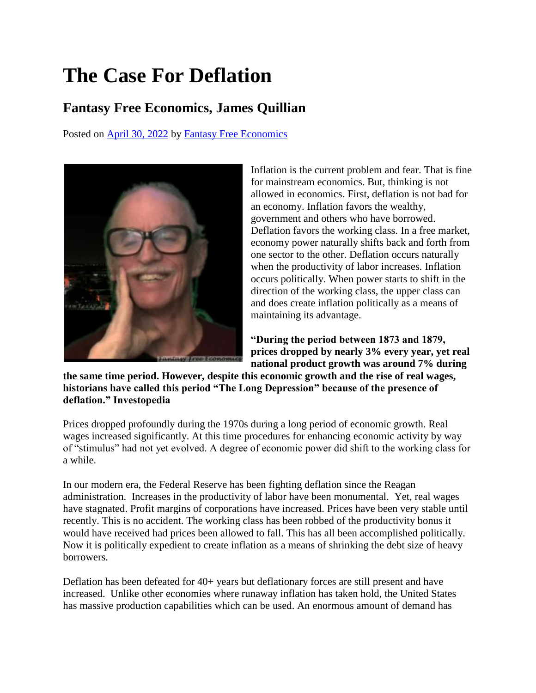## **The Case For Deflation**

## **Fantasy Free Economics, James Quillian**

Posted on [April 30, 2022](https://quillian.net/blog/the-case-for-deflation/) by [Fantasy Free Economics](https://quillian.net/blog/author/james-quillian/)



Inflation is the current problem and fear. That is fine for mainstream economics. But, thinking is not allowed in economics. First, deflation is not bad for an economy. Inflation favors the wealthy, government and others who have borrowed. Deflation favors the working class. In a free market, economy power naturally shifts back and forth from one sector to the other. Deflation occurs naturally when the productivity of labor increases. Inflation occurs politically. When power starts to shift in the direction of the working class, the upper class can and does create inflation politically as a means of maintaining its advantage.

**"During the period between 1873 and 1879, prices dropped by nearly 3% every year, yet real national product growth was around 7% during** 

**the same time period. However, despite this economic growth and the rise of real wages, historians have called this period "The Long Depression" because of the presence of deflation." Investopedia**

Prices dropped profoundly during the 1970s during a long period of economic growth. Real wages increased significantly. At this time procedures for enhancing economic activity by way of "stimulus" had not yet evolved. A degree of economic power did shift to the working class for a while.

In our modern era, the Federal Reserve has been fighting deflation since the Reagan administration. Increases in the productivity of labor have been monumental. Yet, real wages have stagnated. Profit margins of corporations have increased. Prices have been very stable until recently. This is no accident. The working class has been robbed of the productivity bonus it would have received had prices been allowed to fall. This has all been accomplished politically. Now it is politically expedient to create inflation as a means of shrinking the debt size of heavy borrowers.

Deflation has been defeated for 40+ years but deflationary forces are still present and have increased. Unlike other economies where runaway inflation has taken hold, the United States has massive production capabilities which can be used. An enormous amount of demand has